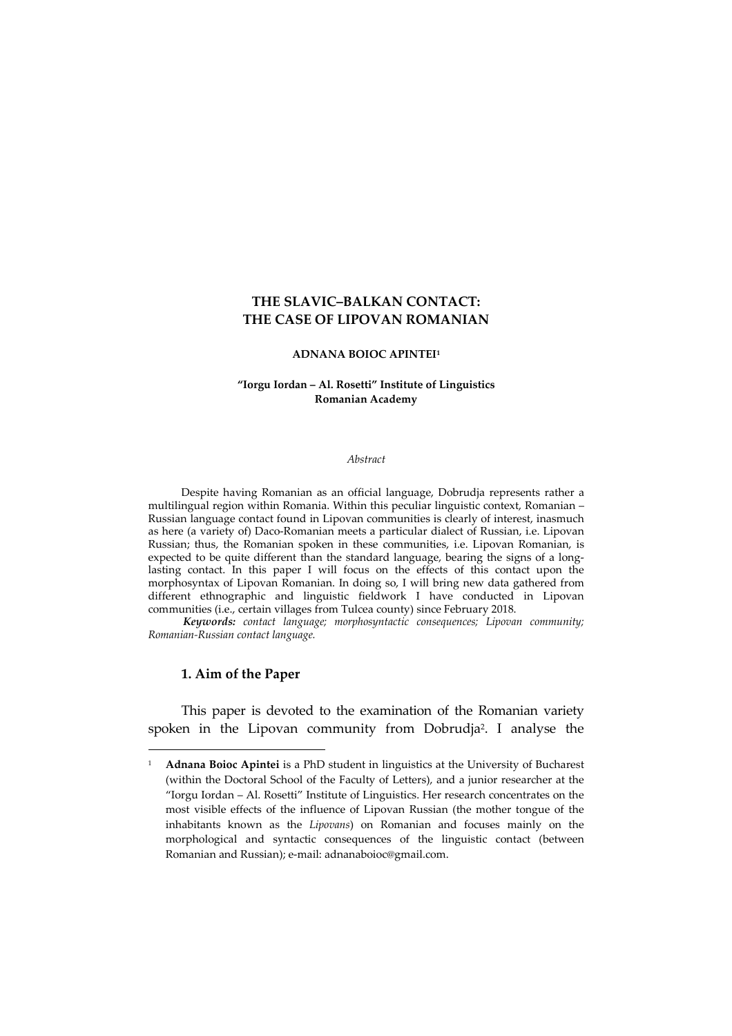## **THE SLAVIC–BALKAN CONTACT: THE CASE OF LIPOVAN ROMANIAN**

#### **ADNANA BOIOC APINTEI<sup>1</sup>**

### **"Iorgu Iordan – Al. Rosetti" Institute of Linguistics Romanian Academy**

#### *Abstract*

Despite having Romanian as an official language, Dobrudja represents rather a multilingual region within Romania. Within this peculiar linguistic context, Romanian – Russian language contact found in Lipovan communities is clearly of interest, inasmuch as here (a variety of) Daco-Romanian meets a particular dialect of Russian, i.e. Lipovan Russian; thus, the Romanian spoken in these communities, i.e. Lipovan Romanian, is expected to be quite different than the standard language, bearing the signs of a longlasting contact. In this paper I will focus on the effects of this contact upon the morphosyntax of Lipovan Romanian. In doing so, I will bring new data gathered from different ethnographic and linguistic fieldwork I have conducted in Lipovan communities (i.e., certain villages from Tulcea county) since February 2018.

*Keywords: contact language; morphosyntactic consequences; Lipovan community; Romanian-Russian contact language.*

#### **1. Aim of the Paper**

 $\overline{a}$ 

This paper is devoted to the examination of the Romanian variety spoken in the Lipovan community from Dobrudja<sup>2</sup> . I analyse the

<sup>&</sup>lt;sup>1</sup> **Adnana Boioc Apintei** is a PhD student in linguistics at the University of Bucharest (within the Doctoral School of the Faculty of Letters), and a junior researcher at the "Iorgu Iordan – Al. Rosetti" Institute of Linguistics. Her research concentrates on the most visible effects of the influence of Lipovan Russian (the mother tongue of the inhabitants known as the *Lipovans*) on Romanian and focuses mainly on the morphological and syntactic consequences of the linguistic contact (between Romanian and Russian); e-mail: adnanaboioc@gmail.com.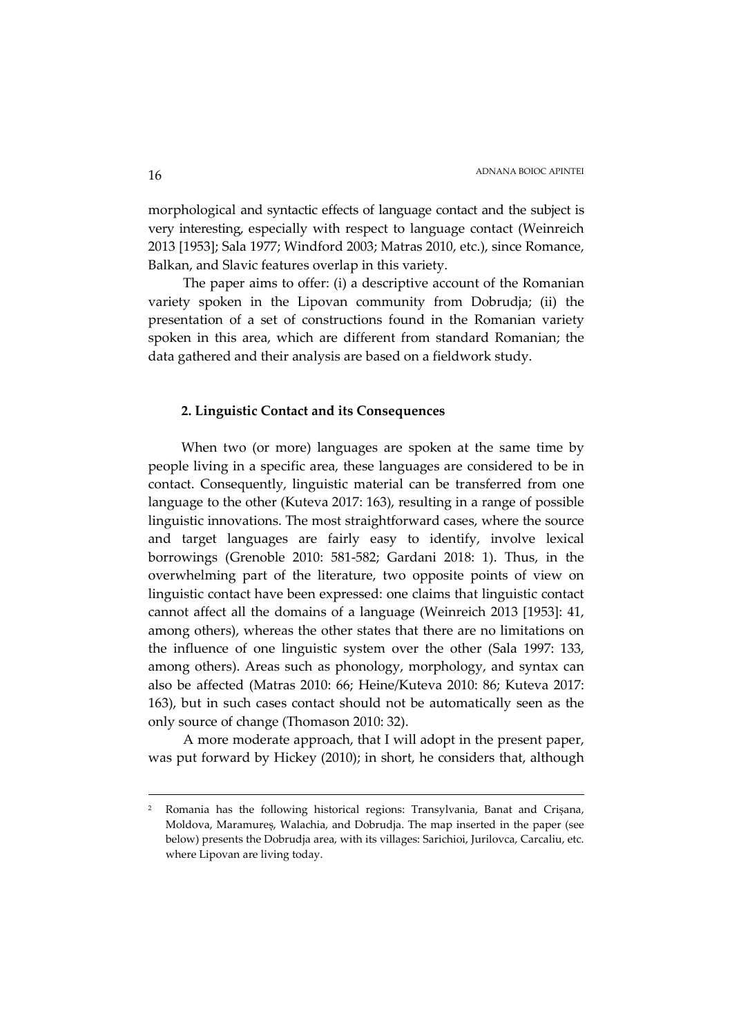morphological and syntactic effects of language contact and the subject is very interesting, especially with respect to language contact (Weinreich 2013 [1953]; Sala 1977; Windford 2003; Matras 2010, etc.), since Romance, Balkan, and Slavic features overlap in this variety.

The paper aims to offer: (i) a descriptive account of the Romanian variety spoken in the Lipovan community from Dobrudja; (ii) the presentation of a set of constructions found in the Romanian variety spoken in this area, which are different from standard Romanian; the data gathered and their analysis are based on a fieldwork study.

## **2. Linguistic Contact and its Consequences**

When two (or more) languages are spoken at the same time by people living in a specific area, these languages are considered to be in contact. Consequently, linguistic material can be transferred from one language to the other (Kuteva 2017: 163), resulting in a range of possible linguistic innovations. The most straightforward cases, where the source and target languages are fairly easy to identify, involve lexical borrowings (Grenoble 2010: 581-582; Gardani 2018: 1). Thus, in the overwhelming part of the literature, two opposite points of view on linguistic contact have been expressed: one claims that linguistic contact cannot affect all the domains of a language (Weinreich 2013 [1953]: 41, among others), whereas the other states that there are no limitations on the influence of one linguistic system over the other (Sala 1997: 133, among others). Areas such as phonology, morphology, and syntax can also be affected (Matras 2010: 66; Heine/Kuteva 2010: 86; Kuteva 2017: 163), but in such cases contact should not be automatically seen as the only source of change (Thomason 2010: 32).

A more moderate approach, that I will adopt in the present paper, was put forward by Hickey (2010); in short, he considers that, although

<sup>2</sup> Romania has the following historical regions: Transylvania, Banat and Crișana, Moldova, Maramureș, Walachia, and Dobrudja. The map inserted in the paper (see below) presents the Dobrudja area, with its villages: Sarichioi, Jurilovca, Carcaliu, etc. where Lipovan are living today.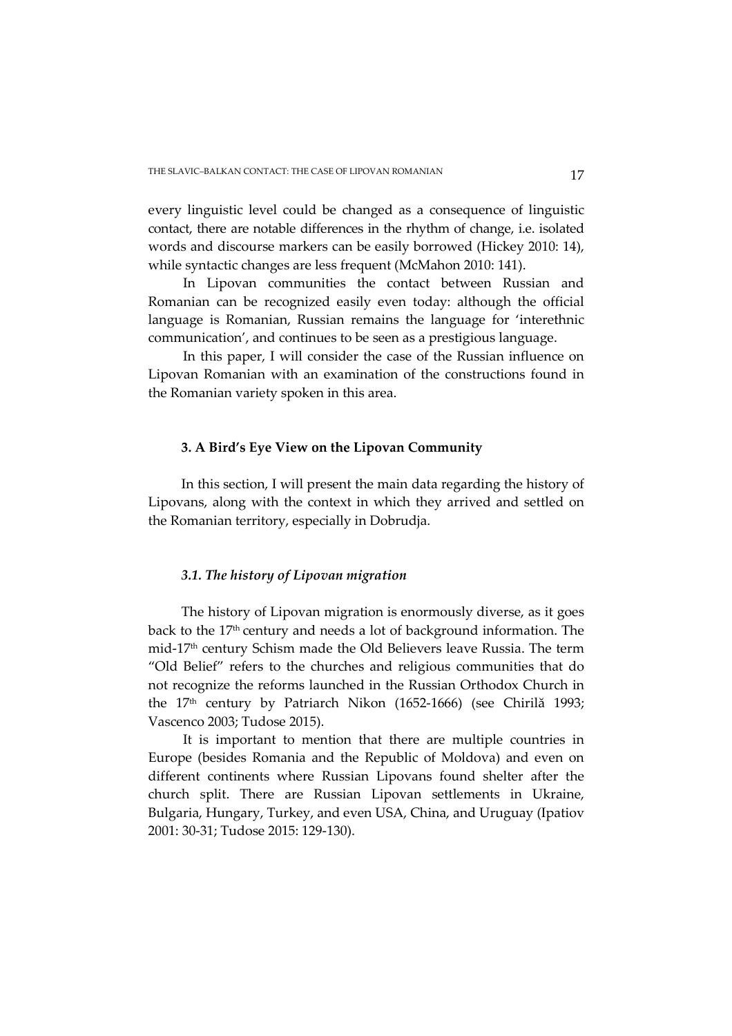every linguistic level could be changed as a consequence of linguistic contact, there are notable differences in the rhythm of change, i.e. isolated words and discourse markers can be easily borrowed (Hickey 2010: 14), while syntactic changes are less frequent (McMahon 2010: 141).

In Lipovan communities the contact between Russian and Romanian can be recognized easily even today: although the official language is Romanian, Russian remains the language for 'interethnic communication', and continues to be seen as a prestigious language.

In this paper, I will consider the case of the Russian influence on Lipovan Romanian with an examination of the constructions found in the Romanian variety spoken in this area.

### **3. A Bird's Eye View on the Lipovan Community**

In this section, I will present the main data regarding the history of Lipovans, along with the context in which they arrived and settled on the Romanian territory, especially in Dobrudja.

### *3.1. The history of Lipovan migration*

The history of Lipovan migration is enormously diverse, as it goes back to the 17th century and needs a lot of background information. The mid-17th century Schism made the Old Believers leave Russia. The term "Old Belief" refers to the churches and religious communities that do not recognize the reforms launched in the Russian Orthodox Church in the 17th century by Patriarch Nikon (1652-1666) (see Chirilă 1993; Vascenco 2003; Tudose 2015).

It is important to mention that there are multiple countries in Europe (besides Romania and the Republic of Moldova) and even on different continents where Russian Lipovans found shelter after the church split. There are Russian Lipovan settlements in Ukraine, Bulgaria, Hungary, Turkey, and even USA, China, and Uruguay (Ipatiov 2001: 30-31; Tudose 2015: 129-130).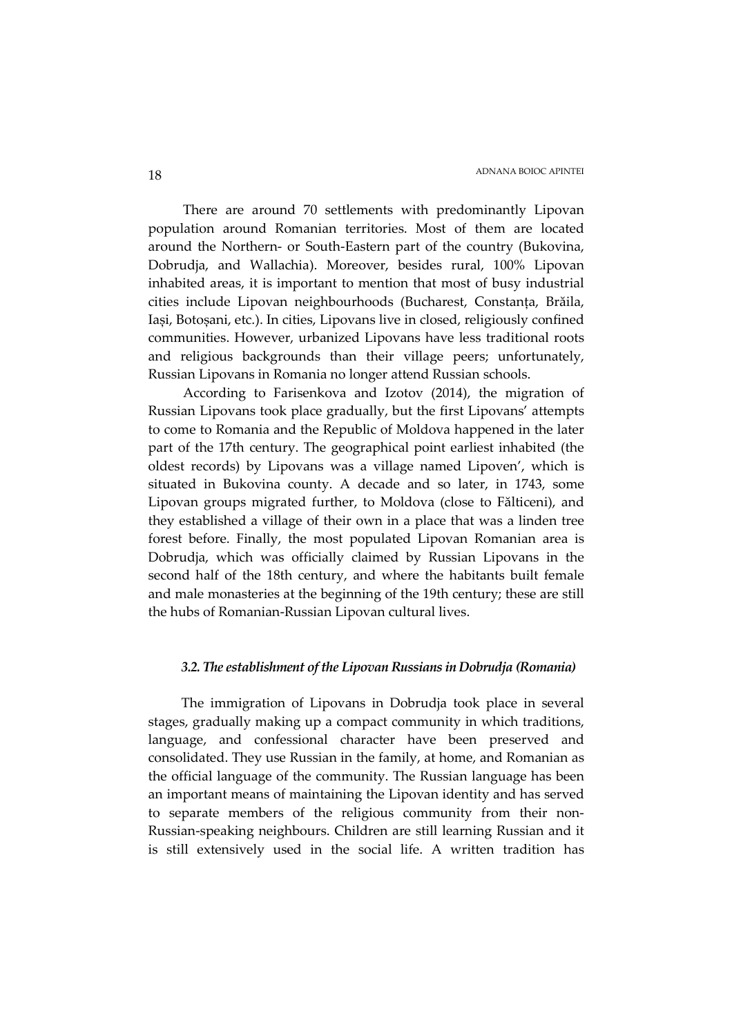There are around 70 settlements with predominantly Lipovan population around Romanian territories. Most of them are located around the Northern- or South-Eastern part of the country (Bukovina, Dobrudja, and Wallachia). Moreover, besides rural, 100% Lipovan inhabited areas, it is important to mention that most of busy industrial cities include Lipovan neighbourhoods (Bucharest, Constanța, Brăila, Iași, Botoșani, etc.). In cities, Lipovans live in closed, religiously confined communities. However, urbanized Lipovans have less traditional roots and religious backgrounds than their village peers; unfortunately, Russian Lipovans in Romania no longer attend Russian schools.

According to Farisenkova and Izotov (2014), the migration of Russian Lipovans took place gradually, but the first Lipovans' attempts to come to Romania and the Republic of Moldova happened in the later part of the 17th century. The geographical point earliest inhabited (the oldest records) by Lipovans was a village named Lipoven', which is situated in Bukovina county. A decade and so later, in 1743, some Lipovan groups migrated further, to Moldova (close to Fălticeni), and they established a village of their own in a place that was a linden tree forest before. Finally, the most populated Lipovan Romanian area is Dobrudja, which was officially claimed by Russian Lipovans in the second half of the 18th century, and where the habitants built female and male monasteries at the beginning of the 19th century; these are still the hubs of Romanian-Russian Lipovan cultural lives.

## *3.2. The establishment of the Lipovan Russians in Dobrudja (Romania)*

The immigration of Lipovans in Dobrudja took place in several stages, gradually making up a compact community in which traditions, language, and confessional character have been preserved and consolidated. They use Russian in the family, at home, and Romanian as the official language of the community. The Russian language has been an important means of maintaining the Lipovan identity and has served to separate members of the religious community from their non-Russian-speaking neighbours. Children are still learning Russian and it is still extensively used in the social life. A written tradition has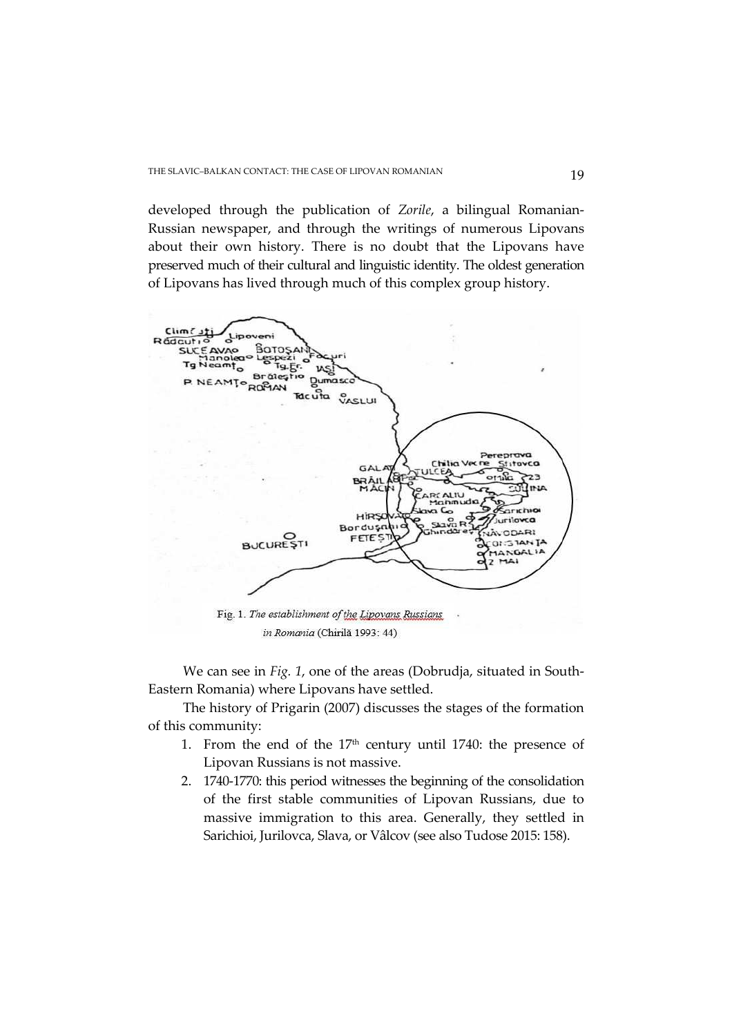developed through the publication of *Zorile*, a bilingual Romanian-Russian newspaper, and through the writings of numerous Lipovans about their own history. There is no doubt that the Lipovans have preserved much of their cultural and linguistic identity. The oldest generation of Lipovans has lived through much of this complex group history.



We can see in *Fig. 1*, one of the areas (Dobrudja, situated in South-Eastern Romania) where Lipovans have settled.

The history of Prigarin (2007) discusses the stages of the formation of this community:

- 1. From the end of the  $17<sup>th</sup>$  century until 1740: the presence of Lipovan Russians is not massive.
- 2. 1740-1770: this period witnesses the beginning of the consolidation of the first stable communities of Lipovan Russians, due to massive immigration to this area. Generally, they settled in Sarichioi, Jurilovca, Slava, or Vâlcov (see also Tudose 2015: 158).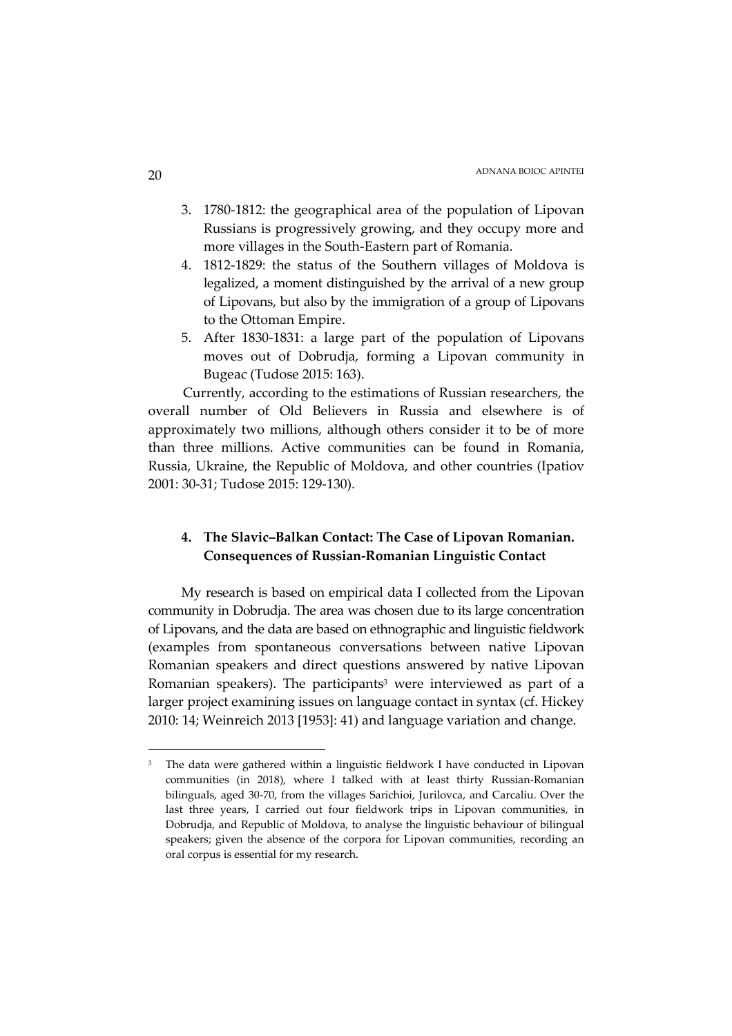- 3. 1780-1812: the geographical area of the population of Lipovan Russians is progressively growing, and they occupy more and more villages in the South-Eastern part of Romania.
- 4. 1812-1829: the status of the Southern villages of Moldova is legalized, a moment distinguished by the arrival of a new group of Lipovans, but also by the immigration of a group of Lipovans to the Ottoman Empire.
- 5. After 1830-1831: a large part of the population of Lipovans moves out of Dobrudja, forming a Lipovan community in Bugeac (Tudose 2015: 163).

Currently, according to the estimations of Russian researchers, the overall number of Old Believers in Russia and elsewhere is of approximately two millions, although others consider it to be of more than three millions. Active communities can be found in Romania, Russia, Ukraine, the Republic of Moldova, and other countries (Ipatiov 2001: 30-31; Tudose 2015: 129-130).

# **4. The Slavic–Balkan Contact: The Case of Lipovan Romanian. Consequences of Russian-Romanian Linguistic Contact**

My research is based on empirical data I collected from the Lipovan community in Dobrudja. The area was chosen due to its large concentration of Lipovans, and the data are based on ethnographic and linguistic fieldwork (examples from spontaneous conversations between native Lipovan Romanian speakers and direct questions answered by native Lipovan Romanian speakers). The participants<sup>3</sup> were interviewed as part of a larger project examining issues on language contact in syntax (cf. Hickey 2010: 14; Weinreich 2013 [1953]: 41) and language variation and change.

<sup>3</sup> The data were gathered within a linguistic fieldwork I have conducted in Lipovan communities (in 2018), where I talked with at least thirty Russian-Romanian bilinguals, aged 30-70, from the villages Sarichioi, Jurilovca, and Carcaliu. Over the last three years, I carried out four fieldwork trips in Lipovan communities, in Dobrudja, and Republic of Moldova, to analyse the linguistic behaviour of bilingual speakers; given the absence of the corpora for Lipovan communities, recording an oral corpus is essential for my research.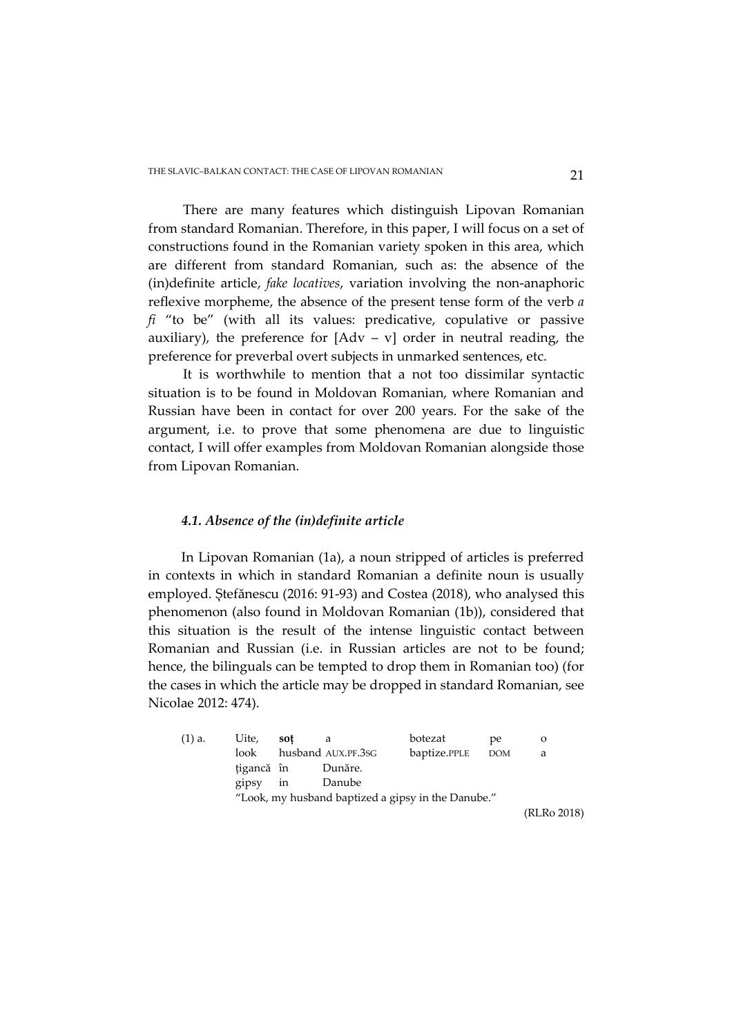There are many features which distinguish Lipovan Romanian from standard Romanian. Therefore, in this paper, I will focus on a set of constructions found in the Romanian variety spoken in this area, which are different from standard Romanian, such as: the absence of the (in)definite article, *fake locatives*, variation involving the non-anaphoric reflexive morpheme, the absence of the present tense form of the verb *a fi* "to be" (with all its values: predicative, copulative or passive auxiliary), the preference for  $[Adv - v]$  order in neutral reading, the preference for preverbal overt subjects in unmarked sentences, etc.

It is worthwhile to mention that a not too dissimilar syntactic situation is to be found in Moldovan Romanian, where Romanian and Russian have been in contact for over 200 years. For the sake of the argument, i.e. to prove that some phenomena are due to linguistic contact, I will offer examples from Moldovan Romanian alongside those from Lipovan Romanian.

### *4.1. Absence of the (in)definite article*

In Lipovan Romanian (1a), a noun stripped of articles is preferred in contexts in which in standard Romanian a definite noun is usually employed. Ștefănescu (2016: 91-93) and Costea (2018), who analysed this phenomenon (also found in Moldovan Romanian (1b)), considered that this situation is the result of the intense linguistic contact between Romanian and Russian (i.e. in Russian articles are not to be found; hence, the bilinguals can be tempted to drop them in Romanian too) (for the cases in which the article may be dropped in standard Romanian, see Nicolae 2012: 474).

| $(1)$ a. | Uite,      | sot                                                |                    | botezat      | pe  |           |  |  |  |
|----------|------------|----------------------------------------------------|--------------------|--------------|-----|-----------|--|--|--|
|          | look       |                                                    | husband AUX.PF.3sG | baptize.PPLE | DOM | a         |  |  |  |
|          | țigancă în |                                                    | Dunăre.            |              |     |           |  |  |  |
|          | gipsy in   |                                                    | Danube             |              |     |           |  |  |  |
|          |            | "Look, my husband baptized a gipsy in the Danube." |                    |              |     |           |  |  |  |
|          |            |                                                    |                    |              |     | $T0$ $T0$ |  |  |  |

(RLRo 2018)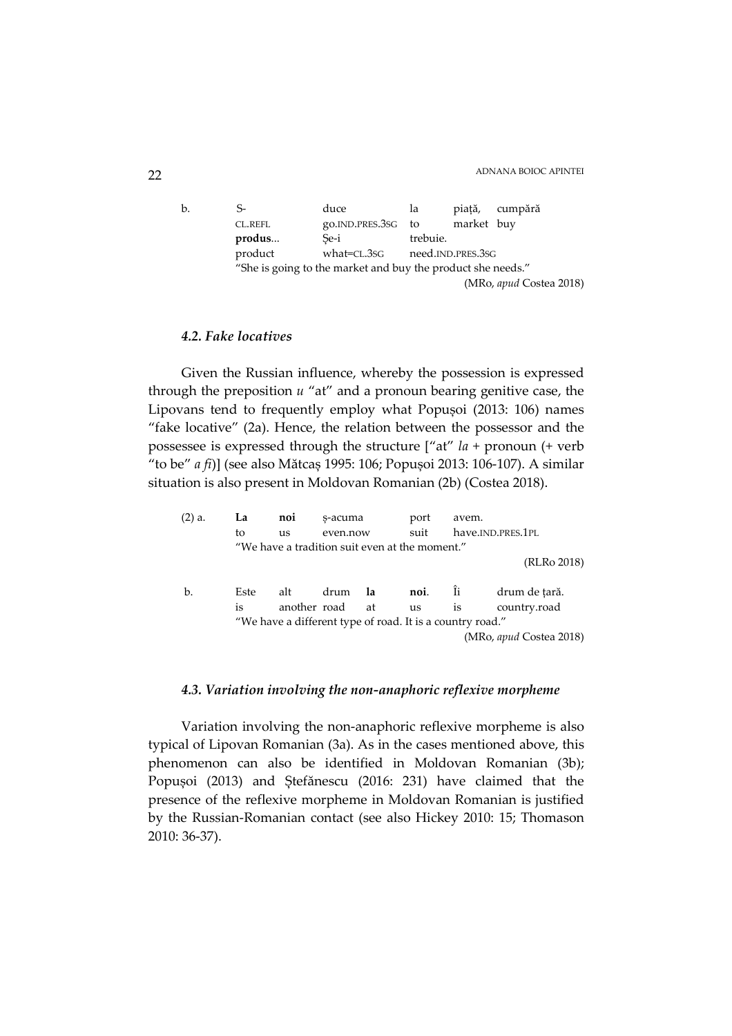b. S- duce la piață, cumpără CL.REFL go.IND.PRES.3SG to market buy **produs...** Se-i trebuie. product what=CL.3SG need.IND.PRES.3SG "She is going to the market and buy the product she needs." (MRo, *apud* Costea 2018)

## *4.2. Fake locatives*

Given the Russian influence, whereby the possession is expressed through the preposition *u* "at" and a pronoun bearing genitive case, the Lipovans tend to frequently employ what Popușoi (2013: 106) names "fake locative" (2a). Hence, the relation between the possessor and the possessee is expressed through the structure ["at" *la* + pronoun (+ verb "to be" *a fi*)] (see also Mătcaș 1995: 106; Popușoi 2013: 106-107). A similar situation is also present in Moldovan Romanian (2b) (Costea 2018).

| $(2)$ a. | La   | noi                                                       | s-acuma                                        |      | port      | avem.             |                         |  |
|----------|------|-----------------------------------------------------------|------------------------------------------------|------|-----------|-------------------|-------------------------|--|
|          | to   | us                                                        | even.now                                       |      | suit      | have.IND.PRES.1PL |                         |  |
|          |      |                                                           | "We have a tradition suit even at the moment." |      |           |                   |                         |  |
|          |      |                                                           |                                                |      |           |                   | (RLRo 2018)             |  |
|          |      |                                                           |                                                |      |           |                   |                         |  |
| b.       | Este | alt                                                       | drum                                           | - la | noi.      | Îi                | drum de tară.           |  |
|          | is   | another road                                              |                                                | at   | <b>us</b> | is                | country.road            |  |
|          |      | "We have a different type of road. It is a country road." |                                                |      |           |                   |                         |  |
|          |      |                                                           |                                                |      |           |                   | (MRo, apud Costea 2018) |  |
|          |      |                                                           |                                                |      |           |                   |                         |  |

### *4.3. Variation involving the non-anaphoric reflexive morpheme*

Variation involving the non-anaphoric reflexive morpheme is also typical of Lipovan Romanian (3a). As in the cases mentioned above, this phenomenon can also be identified in Moldovan Romanian (3b); Popușoi (2013) and Ștefănescu (2016: 231) have claimed that the presence of the reflexive morpheme in Moldovan Romanian is justified by the Russian-Romanian contact (see also Hickey 2010: 15; Thomason 2010: 36-37).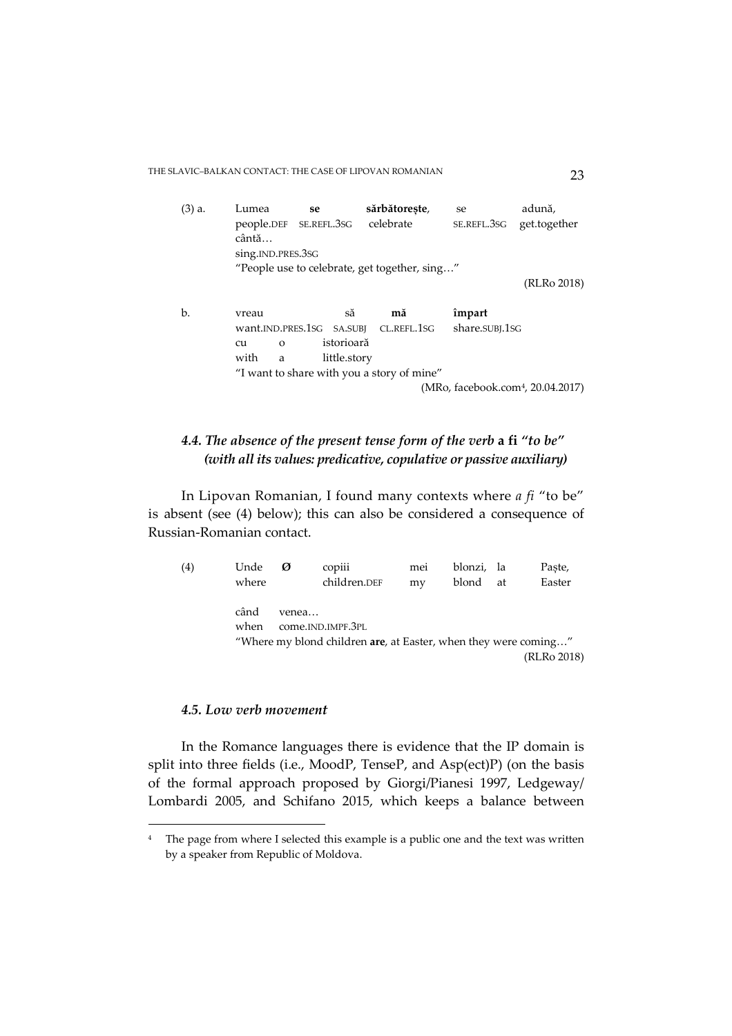THE SLAVIC–BALKAN CONTACT: THE CASE OF LIPOVAN ROMANIAN 23

| (3) a. | Lumea<br>people.DEF<br>cântă | se<br>se.refl.3sg | sărbătorește,<br>celebrate                    | se<br>SE.REFL.3SG | adună,<br>get.together                        |
|--------|------------------------------|-------------------|-----------------------------------------------|-------------------|-----------------------------------------------|
|        | sing.IND.PRES.3SG            |                   |                                               |                   |                                               |
|        |                              |                   | "People use to celebrate, get together, sing" |                   |                                               |
|        |                              |                   |                                               |                   | (RLRo 2018)                                   |
|        |                              |                   |                                               |                   |                                               |
| b.     | vreau                        | să                | mă                                            | împart            |                                               |
|        |                              |                   | want.IND.PRES.1SG SA.SUBJ CL.REFL.1SG         | share.SUBJ.1SG    |                                               |
|        | cu<br>$\Omega$               | istorioară        |                                               |                   |                                               |
|        | with<br>a                    | little.story      |                                               |                   |                                               |
|        |                              |                   | "I want to share with you a story of mine"    |                   |                                               |
|        |                              |                   |                                               |                   | (MRo, facebook.com <sup>4</sup> , 20.04.2017) |

# *4.4. The absence of the present tense form of the verb* **a fi** *"to be" (with all its values: predicative, copulative or passive auxiliary)*

In Lipovan Romanian, I found many contexts where *a fi* "to be" is absent (see (4) below); this can also be considered a consequence of Russian-Romanian contact.

| (4) | Unde<br>Ø | copiii                                                          | mei | blonzi, la |    | Paste,      |
|-----|-----------|-----------------------------------------------------------------|-----|------------|----|-------------|
|     | where     | children.DEF                                                    | my  | blond      | at | Easter      |
|     |           |                                                                 |     |            |    |             |
|     | când      | venea                                                           |     |            |    |             |
|     | when      | come.IND.IMPF.3PL                                               |     |            |    |             |
|     |           | "Where my blond children are, at Easter, when they were coming" |     |            |    |             |
|     |           |                                                                 |     |            |    | (RLRo 2018) |

## *4.5. Low verb movement*

 $\overline{a}$ 

In the Romance languages there is evidence that the IP domain is split into three fields (i.e., MoodP, TenseP, and Asp(ect)P) (on the basis of the formal approach proposed by Giorgi/Pianesi 1997, Ledgeway/ Lombardi 2005, and Schifano 2015, which keeps a balance between

<sup>&</sup>lt;sup>4</sup> The page from where I selected this example is a public one and the text was written by a speaker from Republic of Moldova.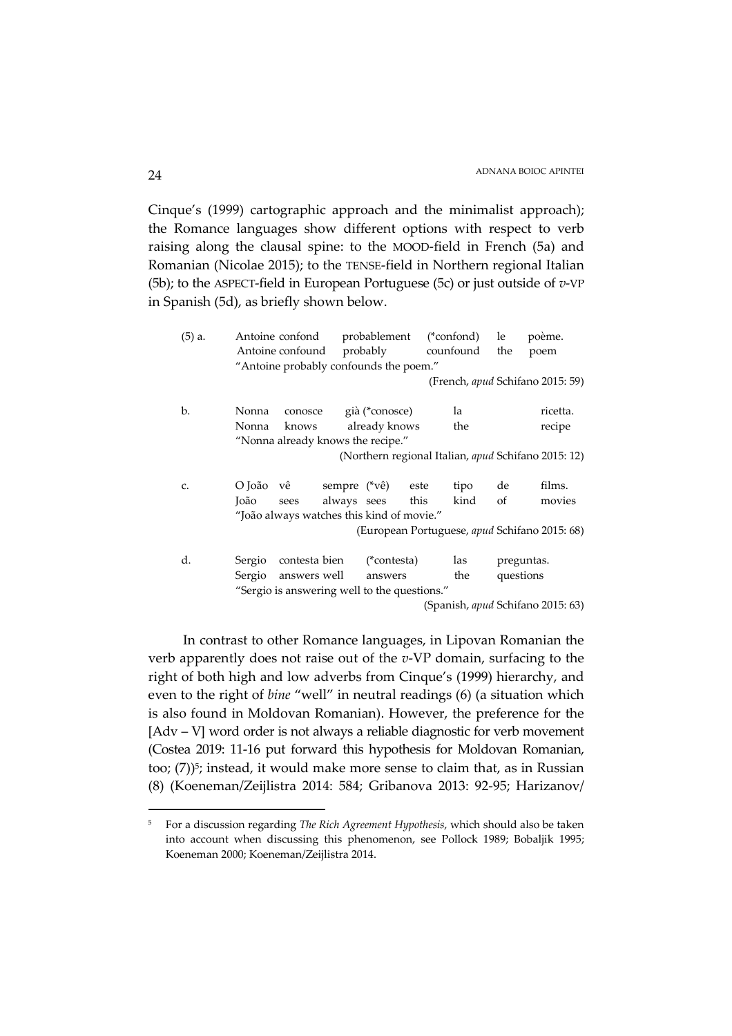Cinque's (1999) cartographic approach and the minimalist approach); the Romance languages show different options with respect to verb raising along the clausal spine: to the MOOD-field in French (5a) and Romanian (Nicolae 2015); to the TENSE-field in Northern regional Italian (5b); to the ASPECT-field in European Portuguese (5c) or just outside of *v*-VP in Spanish (5d), as briefly shown below.

| $(5)$ a. |        | Antoine confond                              |              | probablement           |      | $(*confond)$ | le         | poème.                                              |
|----------|--------|----------------------------------------------|--------------|------------------------|------|--------------|------------|-----------------------------------------------------|
|          |        | Antoine confound                             |              | probably               |      | counfound    | the        | poem                                                |
|          |        | "Antoine probably confounds the poem."       |              |                        |      |              |            |                                                     |
|          |        |                                              |              |                        |      |              |            | (French, apud Schifano 2015: 59)                    |
| b.       | Nonna  |                                              |              | conosce già (*conosce) |      | la           |            | ricetta.                                            |
|          | Nonna  | knows                                        |              | already knows          |      | the          |            | recipe                                              |
|          |        | "Nonna already knows the recipe."            |              |                        |      |              |            |                                                     |
|          |        |                                              |              |                        |      |              |            | (Northern regional Italian, apud Schifano 2015: 12) |
|          |        |                                              |              |                        |      |              |            |                                                     |
| C.       | O João | vê                                           | sempre (*vê) |                        | este | tipo         | de         | films.                                              |
|          | João   | sees                                         | always sees  |                        | this | kind         | of         | movies                                              |
|          |        | "João always watches this kind of movie."    |              |                        |      |              |            |                                                     |
|          |        |                                              |              |                        |      |              |            | (European Portuguese, apud Schifano 2015: 68)       |
|          |        |                                              |              |                        |      |              |            |                                                     |
| d.       | Sergio | contesta bien                                |              | $(*contesta)$          |      | las          | preguntas. |                                                     |
|          |        | Sergio answers well                          |              | answers                |      | the          | questions  |                                                     |
|          |        | "Sergio is answering well to the questions." |              |                        |      |              |            |                                                     |
|          |        |                                              |              |                        |      |              |            | (Spanish, apud Schifano 2015: 63)                   |
|          |        |                                              |              |                        |      |              |            |                                                     |

 In contrast to other Romance languages, in Lipovan Romanian the verb apparently does not raise out of the *v*-VP domain, surfacing to the right of both high and low adverbs from Cinque's (1999) hierarchy, and even to the right of *bine* "well" in neutral readings (6) (a situation which is also found in Moldovan Romanian). However, the preference for the [Adv – V] word order is not always a reliable diagnostic for verb movement (Costea 2019: 11-16 put forward this hypothesis for Moldovan Romanian, too; (7))<sup>5</sup>; instead, it would make more sense to claim that, as in Russian (8) (Koeneman/Zeijlistra 2014: 584; Gribanova 2013: 92-95; Harizanov/

<sup>5</sup> For a discussion regarding *The Rich Agreement Hypothesis*, which should also be taken into account when discussing this phenomenon, see Pollock 1989; Bobaljik 1995; Koeneman 2000; Koeneman/Zeijlistra 2014.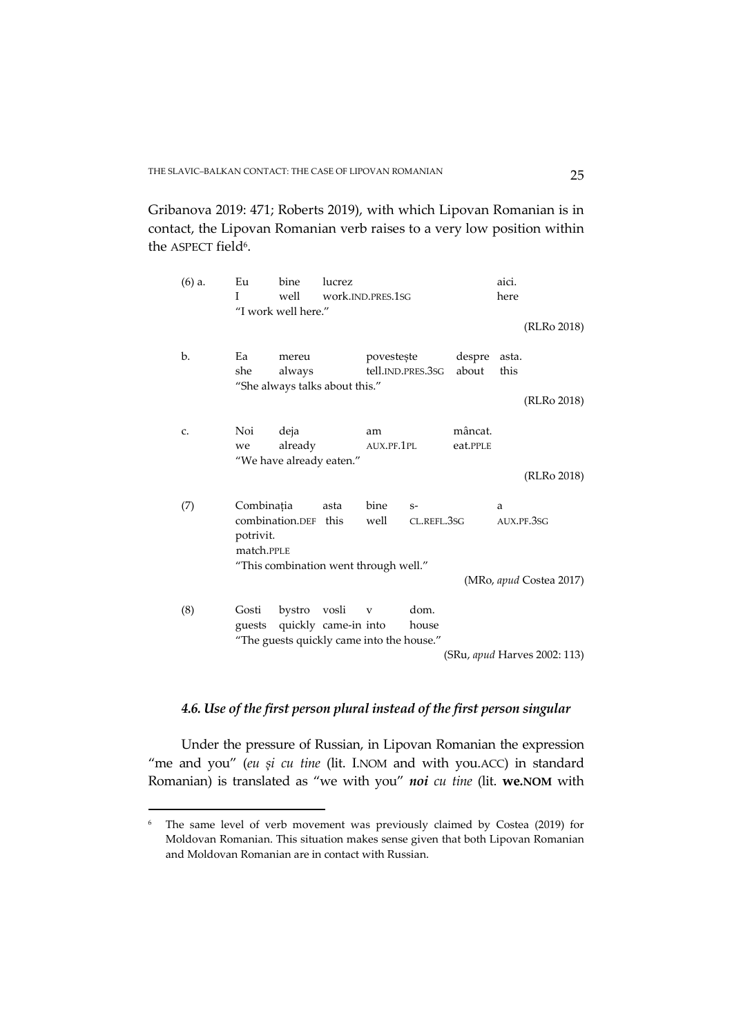Gribanova 2019: 471; Roberts 2019), with which Lipovan Romanian is in contact, the Lipovan Romanian verb raises to a very low position within the ASPECT field<sup>6</sup>.

| $(6)$ a. | Eu<br>T                               | bine<br>well<br>"I work well here."                                      | lucrez<br>work.IND.PRES.1sG |                  |                                 |                       | aici.<br>here | (RLRo 2018)                           |
|----------|---------------------------------------|--------------------------------------------------------------------------|-----------------------------|------------------|---------------------------------|-----------------------|---------------|---------------------------------------|
| b.       | Ea<br>she                             | mereu<br>always<br>"She always talks about this."                        |                             |                  | povestește<br>tell.ind.pres.3sg | despre asta.<br>about | this          | (RLRo 2018)                           |
| c.       | Noi<br>we                             | deja<br>already<br>"We have already eaten."                              |                             | am<br>AUX.PF.1PL |                                 | mâncat.<br>eat.PPLE   |               | (RLRo 2018)                           |
| (7)      | Combinația<br>potrivit.<br>match.PPLE | combination.DEF this<br>"This combination went through well."            | asta                        | bine<br>well     | $S-$<br>CL.REFL.3SG             |                       | a             | AUX.PF.3SG<br>(MRo, apud Costea 2017) |
| (8)      | Gosti                                 | guests quickly came-in into<br>"The guests quickly came into the house." | bystro vosli                | $\mathbf{V}$     | dom.<br>house                   |                       |               | (SRu, apud Harves 2002: 113)          |

# *4.6. Use of the first person plural instead of the first person singular*

Under the pressure of Russian, in Lipovan Romanian the expression "me and you" (*eu și cu tine* (lit. I.NOM and with you.ACC) in standard Romanian) is translated as "we with you" *noi cu tine* (lit. **we.NOM** with

<sup>6</sup> The same level of verb movement was previously claimed by Costea (2019) for Moldovan Romanian. This situation makes sense given that both Lipovan Romanian and Moldovan Romanian are in contact with Russian.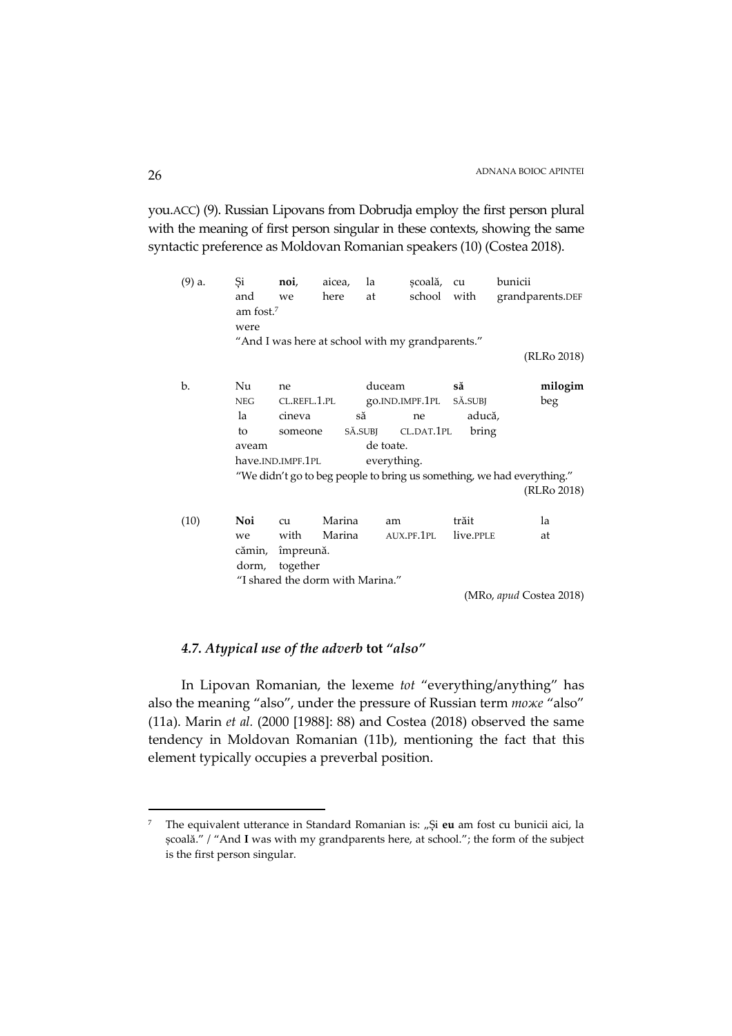you.ACC) (9). Russian Lipovans from Dobrudja employ the first person plural with the meaning of first person singular in these contexts, showing the same syntactic preference as Moldovan Romanian speakers (10) (Costea 2018).

| $(9)$ a. | Si                    | noi,                             | aicea, | la          | scoală, cu                                       |             | bunicii                                                                |
|----------|-----------------------|----------------------------------|--------|-------------|--------------------------------------------------|-------------|------------------------------------------------------------------------|
|          | and                   | we                               | here   | at          |                                                  | school with | grandparents.DEF                                                       |
|          | am fost. <sup>7</sup> |                                  |        |             |                                                  |             |                                                                        |
|          | were                  |                                  |        |             |                                                  |             |                                                                        |
|          |                       |                                  |        |             | "And I was here at school with my grandparents." |             |                                                                        |
|          |                       |                                  |        |             |                                                  |             | (RLRo 2018)                                                            |
|          |                       |                                  |        |             |                                                  |             |                                                                        |
| b.       | Nu                    | ne                               |        | duceam      |                                                  | să          | milogim                                                                |
|          | <b>NEG</b>            |                                  |        |             | CL.REFL.1.PL go.IND.IMPF.1PL                     | SĂ.SUBJ     | beg                                                                    |
|          | la                    | cineva                           |        | să          | ne                                               | aducă,      |                                                                        |
|          | to                    | someone                          |        |             | SĂ.SUBJ CL.DAT.1PL                               | bring       |                                                                        |
|          | aveam                 |                                  |        | de toate.   |                                                  |             |                                                                        |
|          |                       | have.IND.IMPF.1PL                |        | everything. |                                                  |             |                                                                        |
|          |                       |                                  |        |             |                                                  |             | "We didn't go to beg people to bring us something, we had everything." |
|          |                       |                                  |        |             |                                                  |             | (RLRo 2018)                                                            |
|          |                       |                                  |        |             |                                                  |             |                                                                        |
| (10)     | Noi                   | cu                               | Marina | am          |                                                  | trăit       | la                                                                     |
|          | we                    | with                             | Marina |             | AUX.PF.1PL                                       | live.PPLE   | at                                                                     |
|          |                       | cămin, împreună.                 |        |             |                                                  |             |                                                                        |
|          | dorm,                 | together                         |        |             |                                                  |             |                                                                        |
|          |                       | "I shared the dorm with Marina." |        |             |                                                  |             |                                                                        |
|          |                       |                                  |        |             |                                                  |             | (MRo, apud Costea 2018)                                                |
|          |                       |                                  |        |             |                                                  |             |                                                                        |

## *4.7. Atypical use of the adverb* **tot** *"also"*

In Lipovan Romanian, the lexeme *tot* "everything/anything" has also the meaning "also", under the pressure of Russian term *тоже* "also" (11a). Marin *et al.* (2000 [1988]: 88) and Costea (2018) observed the same tendency in Moldovan Romanian (11b), mentioning the fact that this element typically occupies a preverbal position.

<sup>7</sup> The equivalent utterance in Standard Romanian is: "Și eu am fost cu bunicii aici, la școală." / "And **I** was with my grandparents here, at school."; the form of the subject is the first person singular.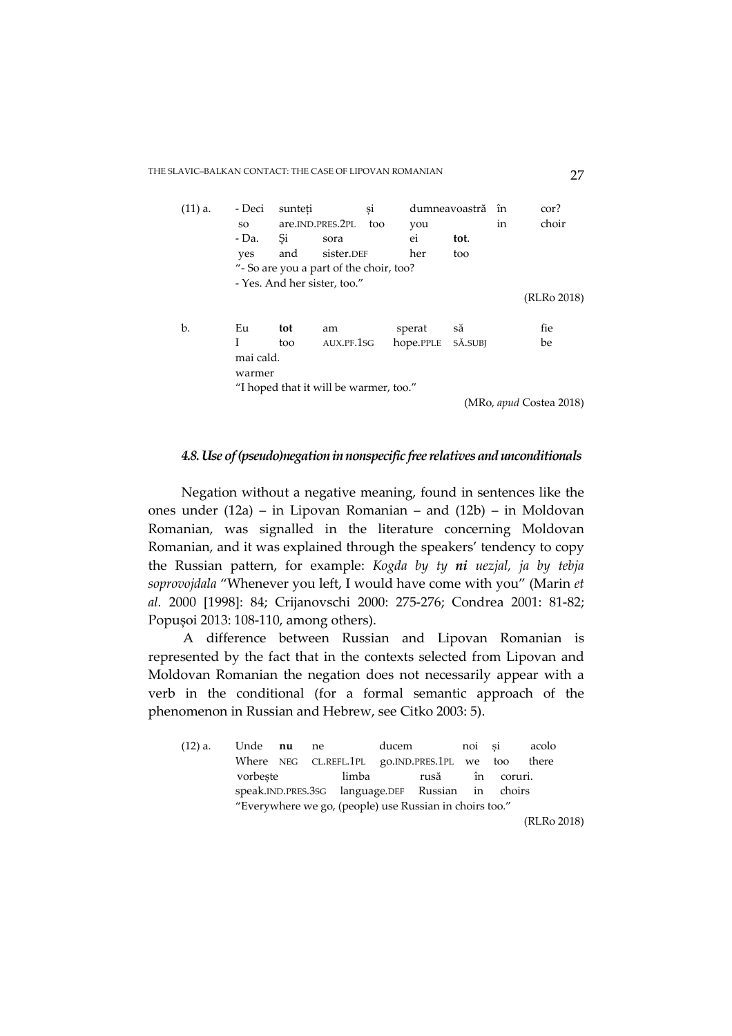THE SLAVIC–BALKAN CONTACT: THE CASE OF LIPOVAN ROMANIAN 27

| $(11)$ a. | - Deci                                 | sunteti |                                         | si  |           | dumneavoastră | în | cor?                    |
|-----------|----------------------------------------|---------|-----------------------------------------|-----|-----------|---------------|----|-------------------------|
|           | SO.                                    |         | are.IND.PRES.2PL                        | too | you       |               | in | choir                   |
|           | - Da.                                  | Si      | sora                                    |     | ei        | tot.          |    |                         |
|           | yes                                    | and     | sister.DEF                              |     | her       | too           |    |                         |
|           |                                        |         | "- So are you a part of the choir, too? |     |           |               |    |                         |
|           |                                        |         | - Yes. And her sister, too."            |     |           |               |    |                         |
|           |                                        |         |                                         |     |           |               |    | (RLRo 2018)             |
|           |                                        |         |                                         |     |           |               |    |                         |
| b.        | Eu                                     | tot     | am                                      |     | sperat    | să            |    | fie                     |
|           | L                                      | too     | AUX.PF.1SG                              |     | hope.PPLE | SĂ.SUBI       |    | be                      |
|           | mai cald.                              |         |                                         |     |           |               |    |                         |
|           | warmer                                 |         |                                         |     |           |               |    |                         |
|           | "I hoped that it will be warmer, too." |         |                                         |     |           |               |    |                         |
|           |                                        |         |                                         |     |           |               |    | (MRo, apud Costea 2018) |

### *4.8. Use of (pseudo)negation in nonspecific free relatives and unconditionals*

Negation without a negative meaning, found in sentences like the ones under (12a) – in Lipovan Romanian – and (12b) – in Moldovan Romanian, was signalled in the literature concerning Moldovan Romanian, and it was explained through the speakers' tendency to copy the Russian pattern, for example: *Kogda by ty ni uezjal, ja by tebja soprovojdala* "Whenever you left, I would have come with you" (Marin *et al.* 2000 [1998]: 84; Crijanovschi 2000: 275-276; Condrea 2001: 81-82; Popușoi 2013: 108-110, among others).

A difference between Russian and Lipovan Romanian is represented by the fact that in the contexts selected from Lipovan and Moldovan Romanian the negation does not necessarily appear with a verb in the conditional (for a formal semantic approach of the phenomenon in Russian and Hebrew, see Citko 2003: 5).

| (12) a. | Unde <b>nu</b> ne                                       |  |                                                    | ducem |      | noi si |         | acolo       |  |
|---------|---------------------------------------------------------|--|----------------------------------------------------|-------|------|--------|---------|-------------|--|
|         |                                                         |  | Where NEG CL.REFL.1PL go.IND.PRES.1PL we too there |       |      |        |         |             |  |
|         | vorbeste                                                |  | limba                                              |       | rusă | în     | coruri. |             |  |
|         |                                                         |  | speak.IND.PRES.3SG language.DEF Russian in choirs  |       |      |        |         |             |  |
|         | "Everywhere we go, (people) use Russian in choirs too." |  |                                                    |       |      |        |         |             |  |
|         |                                                         |  |                                                    |       |      |        |         | (RLRo 2018) |  |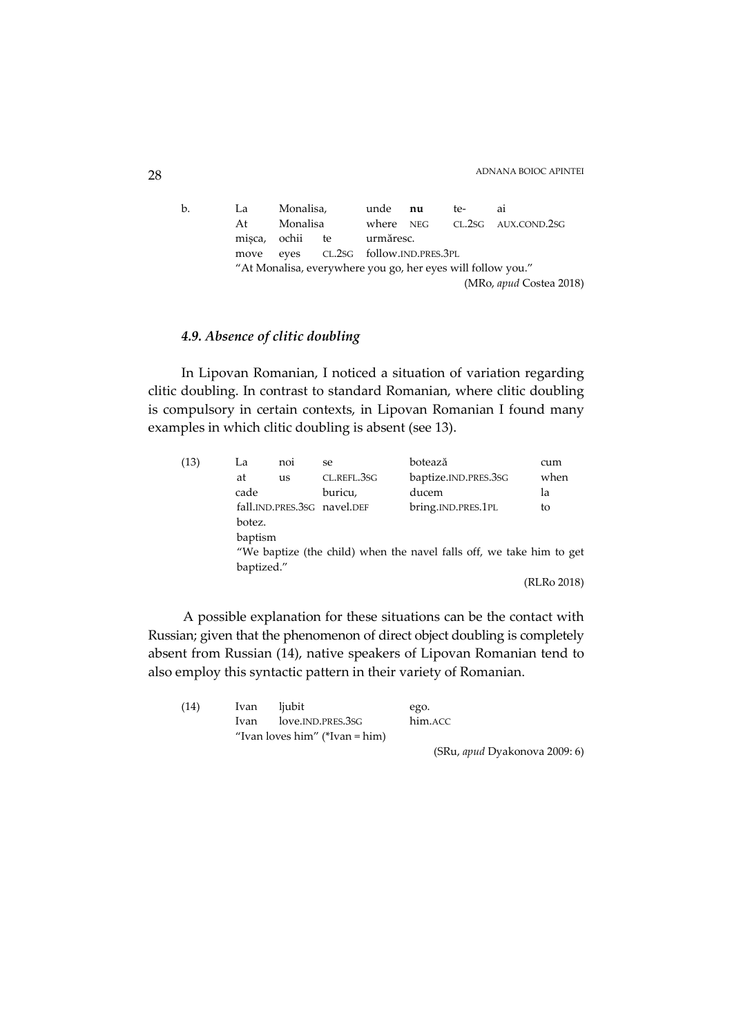# ADNANA BOIOC APINTEI 28

b. La Monalisa, unde **nu** te- ai At Monalisa where NEG CL.2SG AUX.COND.2SG mișca, ochii te urmăresc. move eyes CL.2SG follow.IND.PRES.3PL "At Monalisa, everywhere you go, her eyes will follow you." (MRo, *apud* Costea 2018)

## *4.9. Absence of clitic doubling*

In Lipovan Romanian, I noticed a situation of variation regarding clitic doubling. In contrast to standard Romanian, where clitic doubling is compulsory in certain contexts, in Lipovan Romanian I found many examples in which clitic doubling is absent (see 13).

| (13) | La     | noi                                                                  | se                          | botează              | cum         |  |  |  |  |  |  |
|------|--------|----------------------------------------------------------------------|-----------------------------|----------------------|-------------|--|--|--|--|--|--|
|      | at     | us                                                                   | CL.REFL.3SG                 | baptize.IND.PRES.3SG | when        |  |  |  |  |  |  |
|      | cade   |                                                                      | buricu,                     | ducem                | la          |  |  |  |  |  |  |
|      |        |                                                                      | fall.IND.PRES.3SG navel.DEF | bring.IND.PRES.1PL   | to          |  |  |  |  |  |  |
|      | botez. |                                                                      |                             |                      |             |  |  |  |  |  |  |
|      |        | baptism                                                              |                             |                      |             |  |  |  |  |  |  |
|      |        | "We baptize (the child) when the navel falls off, we take him to get |                             |                      |             |  |  |  |  |  |  |
|      |        | baptized."                                                           |                             |                      |             |  |  |  |  |  |  |
|      |        |                                                                      |                             |                      | (RLRo 2018) |  |  |  |  |  |  |

A possible explanation for these situations can be the contact with Russian; given that the phenomenon of direct object doubling is completely absent from Russian (14), native speakers of Lipovan Romanian tend to also employ this syntactic pattern in their variety of Romanian.

| (14) | Ivan | ljubit                         | ego.    |
|------|------|--------------------------------|---------|
|      |      | Ivan love.IND.PRES.3SG         | him.ACC |
|      |      | "Ivan loves him" (*Ivan = him) |         |

(SRu, *apud* Dyakonova 2009: 6)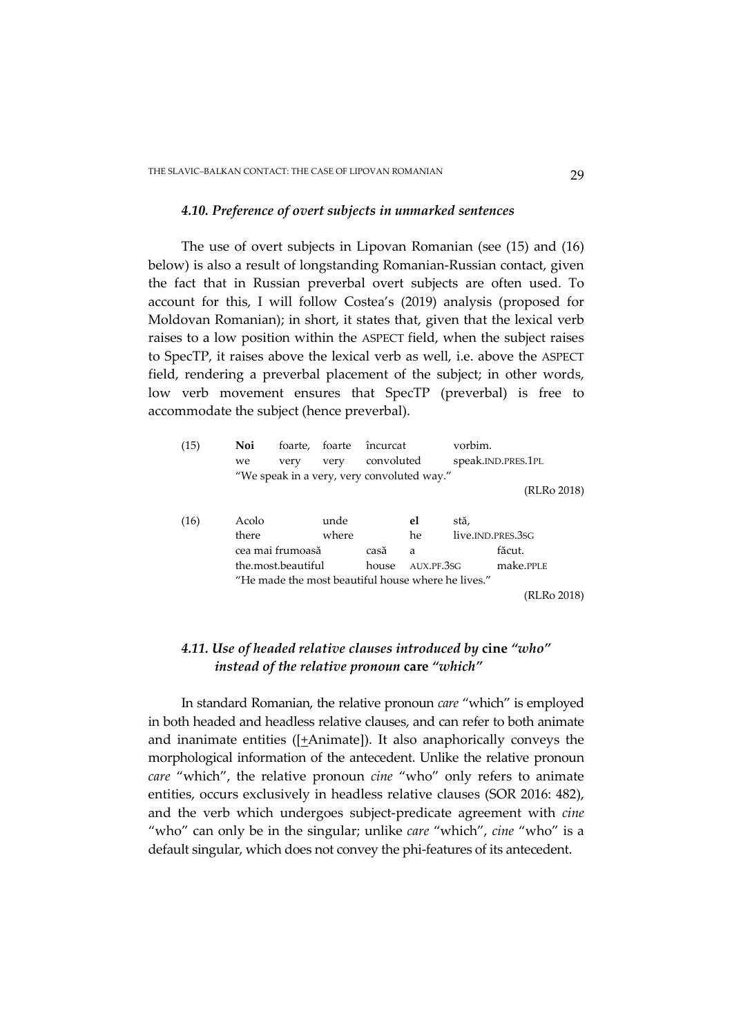### *4.10. Preference of overt subjects in unmarked sentences*

The use of overt subjects in Lipovan Romanian (see (15) and (16) below) is also a result of longstanding Romanian-Russian contact, given the fact that in Russian preverbal overt subjects are often used. To account for this, I will follow Costea's (2019) analysis (proposed for Moldovan Romanian); in short, it states that, given that the lexical verb raises to a low position within the ASPECT field, when the subject raises to SpecTP, it raises above the lexical verb as well, i.e. above the ASPECT field, rendering a preverbal placement of the subject; in other words, low verb movement ensures that SpecTP (preverbal) is free to accommodate the subject (hence preverbal).

| (15) | Noi<br>we | foarte,<br>very                            | foarte<br>very | încurcat<br>convoluted |            | vorbim.                                            | speak.IND.PRES.1PL |
|------|-----------|--------------------------------------------|----------------|------------------------|------------|----------------------------------------------------|--------------------|
|      |           |                                            |                |                        |            |                                                    |                    |
|      |           | "We speak in a very, very convoluted way." |                |                        |            |                                                    |                    |
|      |           |                                            |                |                        |            |                                                    | (RLRo 2018)        |
|      |           |                                            |                |                        |            |                                                    |                    |
| (16) | Acolo     |                                            | unde           |                        | el         | stă,                                               |                    |
|      | there     |                                            | where          |                        | he.        |                                                    | live.JND.PRES.3SG  |
|      |           | cea mai frumoasă                           |                | casă                   | a          |                                                    | făcut.             |
|      |           | the.most.beautiful                         |                | house                  | AUX.PF.3SG |                                                    | make.PPLE          |
|      |           |                                            |                |                        |            | "He made the most beautiful house where he lives." |                    |
|      |           |                                            |                |                        |            |                                                    | (RLRo 2018)        |

## *4.11. Use of headed relative clauses introduced by* **cine** *"who" instead of the relative pronoun* **care** *"which"*

In standard Romanian, the relative pronoun *care* "which" is employed in both headed and headless relative clauses, and can refer to both animate and inanimate entities ( $[+$ Animate]). It also anaphorically conveys the morphological information of the antecedent. Unlike the relative pronoun *care* "which", the relative pronoun *cine* "who" only refers to animate entities, occurs exclusively in headless relative clauses (SOR 2016: 482), and the verb which undergoes subject-predicate agreement with *cine*  "who" can only be in the singular; unlike *care* "which", *cine* "who" is a default singular, which does not convey the phi-features of its antecedent.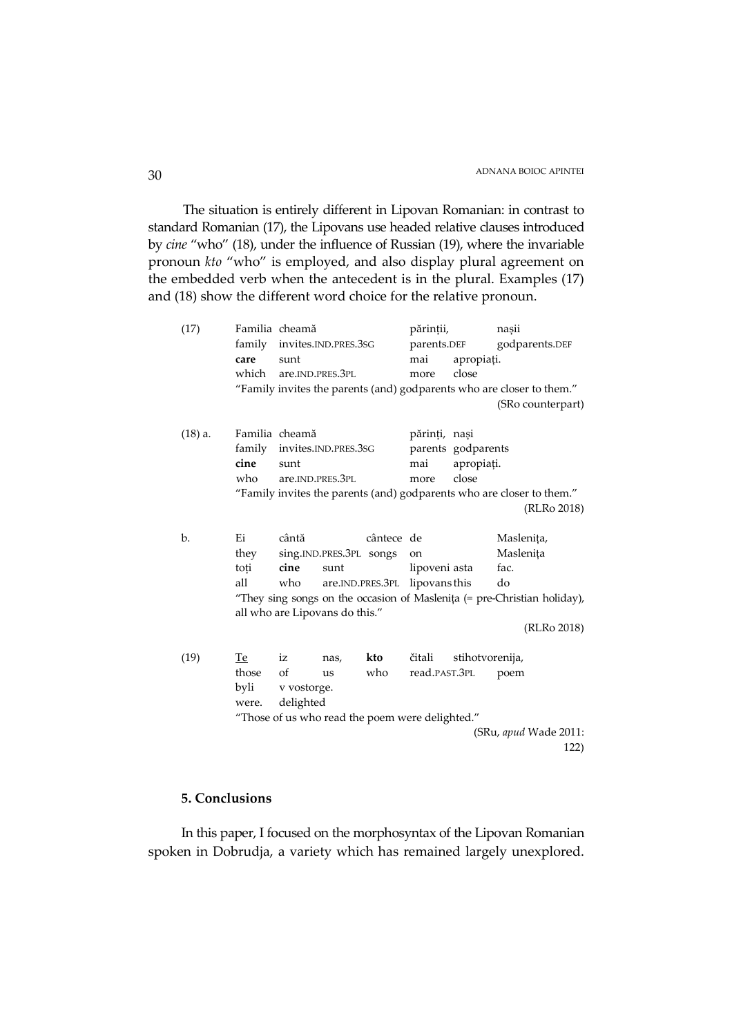The situation is entirely different in Lipovan Romanian: in contrast to standard Romanian (17), the Lipovans use headed relative clauses introduced by *cine* "who" (18), under the influence of Russian (19), where the invariable pronoun *kto* "who" is employed, and also display plural agreement on the embedded verb when the antecedent is in the plural. Examples (17) and (18) show the different word choice for the relative pronoun.

| (17)                  |                                                                          | Familia cheamă<br>family invites.IND.PRES.3SG<br>sunt                 |                         |            | părinții,<br>parents.DEF |                 | nașii             |  |
|-----------------------|--------------------------------------------------------------------------|-----------------------------------------------------------------------|-------------------------|------------|--------------------------|-----------------|-------------------|--|
|                       |                                                                          |                                                                       |                         |            |                          |                 | godparents.DEF    |  |
|                       | care                                                                     |                                                                       |                         |            | mai                      | apropiați.      |                   |  |
|                       |                                                                          | which are.IND.PRES.3PL                                                |                         |            | more                     | close           |                   |  |
|                       | "Family invites the parents (and) godparents who are closer to them."    |                                                                       |                         |            |                          |                 |                   |  |
|                       |                                                                          |                                                                       |                         |            |                          |                 | (SRo counterpart) |  |
|                       |                                                                          |                                                                       |                         |            |                          |                 |                   |  |
| $(18)$ a.             |                                                                          | Familia cheamă                                                        |                         |            | părinți, nași            |                 |                   |  |
|                       |                                                                          | family invites.IND.PRES.3SG                                           |                         |            | parents godparents       |                 |                   |  |
|                       | cine                                                                     | sunt                                                                  |                         |            | mai                      | apropiați.      |                   |  |
|                       | who                                                                      | are.IND.PRES.3PL                                                      |                         |            | more                     | close           |                   |  |
|                       |                                                                          | "Family invites the parents (and) godparents who are closer to them." |                         |            |                          |                 |                   |  |
|                       |                                                                          |                                                                       |                         |            |                          |                 | (RLRo 2018)       |  |
|                       |                                                                          |                                                                       |                         |            |                          |                 |                   |  |
| b.                    | Ei                                                                       | cântă                                                                 |                         | cântece de |                          |                 | Maslenița,        |  |
|                       | they                                                                     |                                                                       | sing.IND.PRES.3PL songs |            | on                       |                 | Maslenița         |  |
|                       | toți                                                                     | cine                                                                  | sunt                    |            | lipoveni asta            |                 | fac.              |  |
|                       | all                                                                      | are.IND.PRES.3PL lipovans this<br>who                                 |                         |            |                          |                 | do                |  |
|                       | "They sing songs on the occasion of Maslenița (= pre-Christian holiday), |                                                                       |                         |            |                          |                 |                   |  |
|                       |                                                                          | all who are Lipovans do this."                                        |                         |            |                          |                 |                   |  |
|                       |                                                                          |                                                                       |                         |            |                          |                 | (RLRo 2018)       |  |
|                       |                                                                          |                                                                       |                         |            |                          |                 |                   |  |
| (19)                  | <b>Te</b>                                                                | iz                                                                    | nas,                    | kto        | čitali                   | stihotvorenija, |                   |  |
|                       | those                                                                    | of                                                                    | us                      | who        | read.PAST.3PL            |                 | poem              |  |
|                       | byli                                                                     | v vostorge.                                                           |                         |            |                          |                 |                   |  |
|                       | were.                                                                    | delighted                                                             |                         |            |                          |                 |                   |  |
|                       | "Those of us who read the poem were delighted."                          |                                                                       |                         |            |                          |                 |                   |  |
| (SRu, apud Wade 2011: |                                                                          |                                                                       |                         |            |                          |                 |                   |  |
|                       |                                                                          |                                                                       |                         |            |                          |                 | 122)              |  |

## **5. Conclusions**

In this paper, I focused on the morphosyntax of the Lipovan Romanian spoken in Dobrudja, a variety which has remained largely unexplored.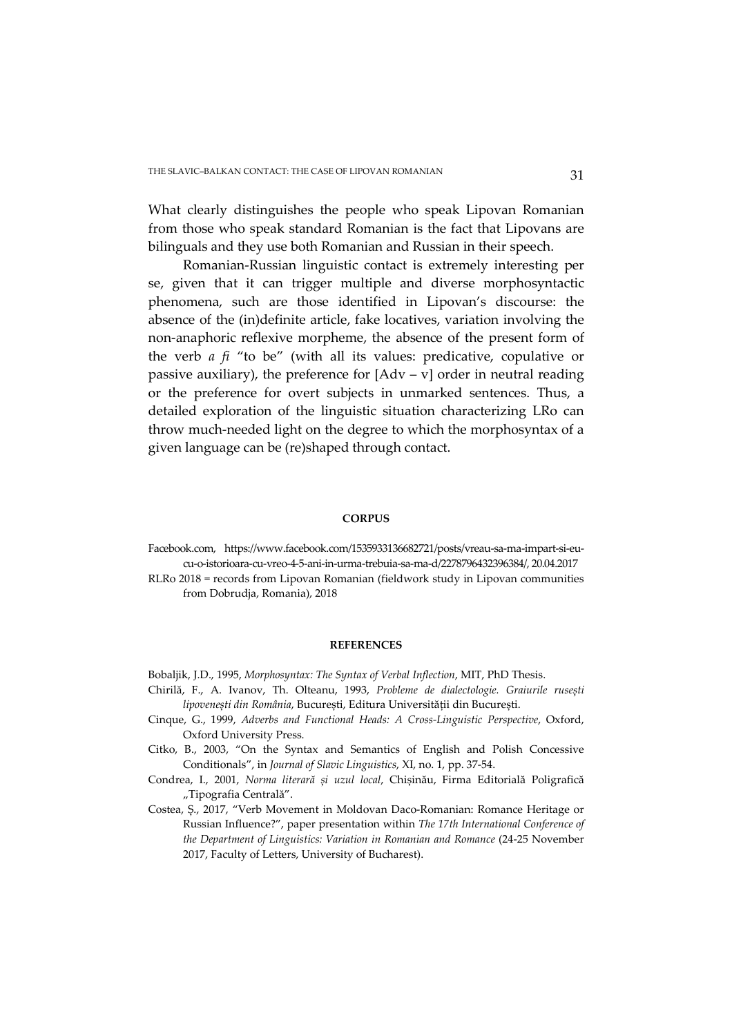What clearly distinguishes the people who speak Lipovan Romanian from those who speak standard Romanian is the fact that Lipovans are bilinguals and they use both Romanian and Russian in their speech.

Romanian-Russian linguistic contact is extremely interesting per se, given that it can trigger multiple and diverse morphosyntactic phenomena, such are those identified in Lipovan's discourse: the absence of the (in)definite article, fake locatives, variation involving the non-anaphoric reflexive morpheme, the absence of the present form of the verb *a fi* "to be" (with all its values: predicative, copulative or passive auxiliary), the preference for  $[Adv - v]$  order in neutral reading or the preference for overt subjects in unmarked sentences. Thus, a detailed exploration of the linguistic situation characterizing LRo can throw much-needed light on the degree to which the morphosyntax of a given language can be (re)shaped through contact.

#### **CORPUS**

Facebook.com, https://www.facebook.com/1535933136682721/posts/vreau-sa-ma-impart-si-eucu-o-istorioara-cu-vreo-4-5-ani-in-urma-trebuia-sa-ma-d/2278796432396384/, 20.04.2017

RLRo 2018 = records from Lipovan Romanian (fieldwork study in Lipovan communities from Dobrudja, Romania), 2018

#### **REFERENCES**

- Bobaljik, J.D., 1995, *Morphosyntax: The Syntax of Verbal Inflection*, MIT, PhD Thesis.
- Chirilă, F., A. Ivanov, Th. Olteanu, 1993, *Probleme de dialectologie. Graiurile rusești lipovenești din România*, București, Editura Universității din București.
- Cinque, G., 1999, *Adverbs and Functional Heads: A Cross-Linguistic Perspective*, Oxford, Oxford University Press.
- Citko, B., 2003, "On the Syntax and Semantics of English and Polish Concessive Conditionals", in *Journal of Slavic Linguistics*, XI, no. 1, pp. 37-54.
- Condrea, I., 2001, *Norma literară și uzul local*, Chișinău, Firma Editorială Poligrafică "Tipografia Centrală".
- Costea, Ș., 2017, "Verb Movement in Moldovan Daco-Romanian: Romance Heritage or Russian Influence?", paper presentation within *The 17th International Conference of the Department of Linguistics: Variation in Romanian and Romance* (24-25 November 2017, Faculty of Letters, University of Bucharest).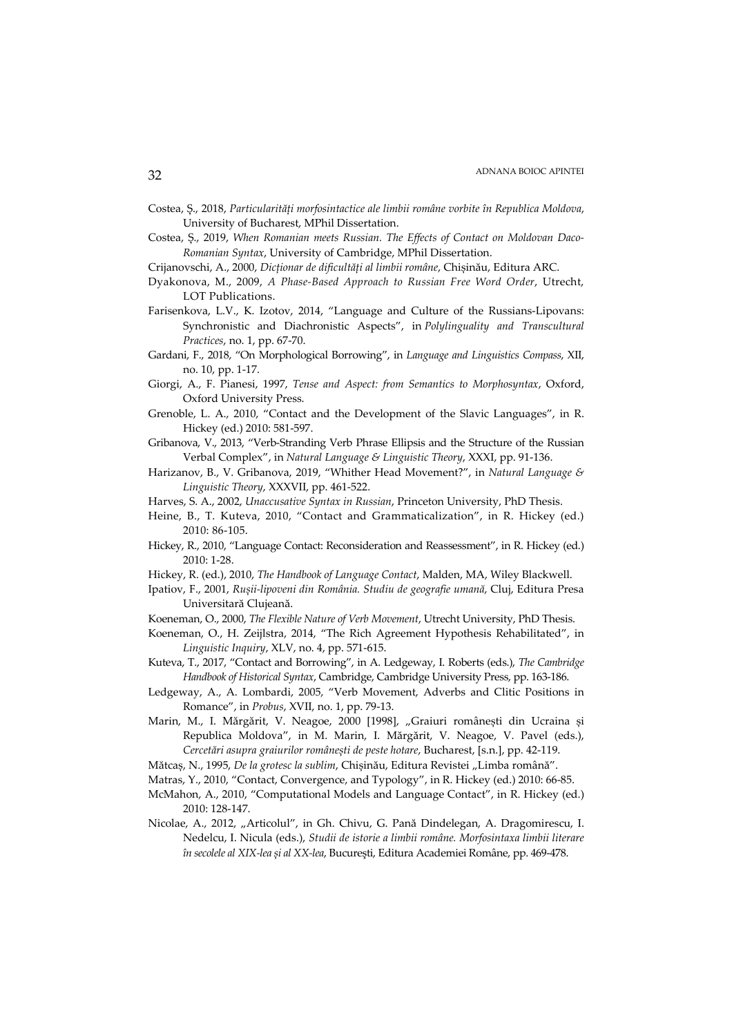- Costea, Ș., 2018, *Particularități morfosintactice ale limbii române vorbite în Republica Moldova*, University of Bucharest, MPhil Dissertation.
- Costea, Ș., 2019, *When Romanian meets Russian. The Effects of Contact on Moldovan Daco-Romanian Syntax*, University of Cambridge, MPhil Dissertation.
- Crijanovschi, A., 2000, *Dicționar de dificultăți al limbii române*, Chișinău, Editura ARC.
- Dyakonova, M., 2009, *A Phase-Based Approach to Russian Free Word Order*, Utrecht, LOT Publications.
- Farisenkova, L.V., K. Izotov, 2014, "Language and Culture of the Russians-Lipovans: Synchronistic and Diachronistic Aspects", in *Polylinguality and Transcultural Practices*, no. 1, pp. 67-70.
- Gardani, F., 2018, "On Morphological Borrowing", in *Language and Linguistics Compass*, XII, no. 10, pp. 1-17.
- Giorgi, A., F. Pianesi, 1997, *Tense and Aspect: from Semantics to Morphosyntax*, Oxford, Oxford University Press.
- Grenoble, L. A., 2010, "Contact and the Development of the Slavic Languages", in R. Hickey (ed.) 2010: 581-597.
- Gribanova, V., 2013, "Verb-Stranding Verb Phrase Ellipsis and the Structure of the Russian Verbal Complex", in *Natural Language & Linguistic Theory*, XXXI, pp. 91-136.
- Harizanov, B., V. Gribanova, 2019, "Whither Head Movement?", in *Natural Language & Linguistic Theory*, XXXVII, pp. 461-522.
- Harves, S. A., 2002, *Unaccusative Syntax in Russian*, Princeton University, PhD Thesis.
- Heine, B., T. Kuteva, 2010, "Contact and Grammaticalization", in R. Hickey (ed.) 2010: 86-105.
- Hickey, R., 2010, "Language Contact: Reconsideration and Reassessment", in R. Hickey (ed.) 2010: 1-28.
- Hickey, R. (ed.), 2010, *The Handbook of Language Contact*, Malden, MA, Wiley Blackwell.
- Ipatiov, F., 2001, *Rușii-lipoveni din România. Studiu de geografie umană*, Cluj, Editura Presa Universitară Clujeană.
- Koeneman, O., 2000, *The Flexible Nature of Verb Movement*, Utrecht University, PhD Thesis.
- Koeneman, O., H. Zeijlstra, 2014, "The Rich Agreement Hypothesis Rehabilitated", in *Linguistic Inquiry*, XLV, no. 4, pp. 571-615.
- Kuteva, T., 2017, "Contact and Borrowing", in A. Ledgeway, I. Roberts (eds.), *The Cambridge Handbook of Historical Syntax*, Cambridge, Cambridge University Press, pp. 163-186.
- Ledgeway, A., A. Lombardi, 2005, "Verb Movement, Adverbs and Clitic Positions in Romance", in *Probus*, XVII, no. 1, pp. 79-13.
- Marin, M., I. Mărgărit, V. Neagoe, 2000 [1998], "Graiuri românești din Ucraina și Republica Moldova", in M. Marin, I. Mărgărit, V. Neagoe, V. Pavel (eds.), *Cercetări asupra graiurilor românești de peste hotare*, Bucharest, [s.n.], pp. 42-119.
- Mătcaș, N., 1995, *De la grotesc la sublim*, Chișinău, Editura Revistei "Limba română".
- Matras, Y., 2010, "Contact, Convergence, and Typology", in R. Hickey (ed.) 2010: 66-85.
- McMahon, A., 2010, "Computational Models and Language Contact", in R. Hickey (ed.) 2010: 128-147.
- Nicolae, A., 2012, "Articolul", in Gh. Chivu, G. Pană Dindelegan, A. Dragomirescu, I. Nedelcu, I. Nicula (eds.), *Studii de istorie a limbii române. Morfosintaxa limbii literare în secolele al XIX-lea și al XX-lea*, Bucureşti, Editura Academiei Române, pp. 469-478.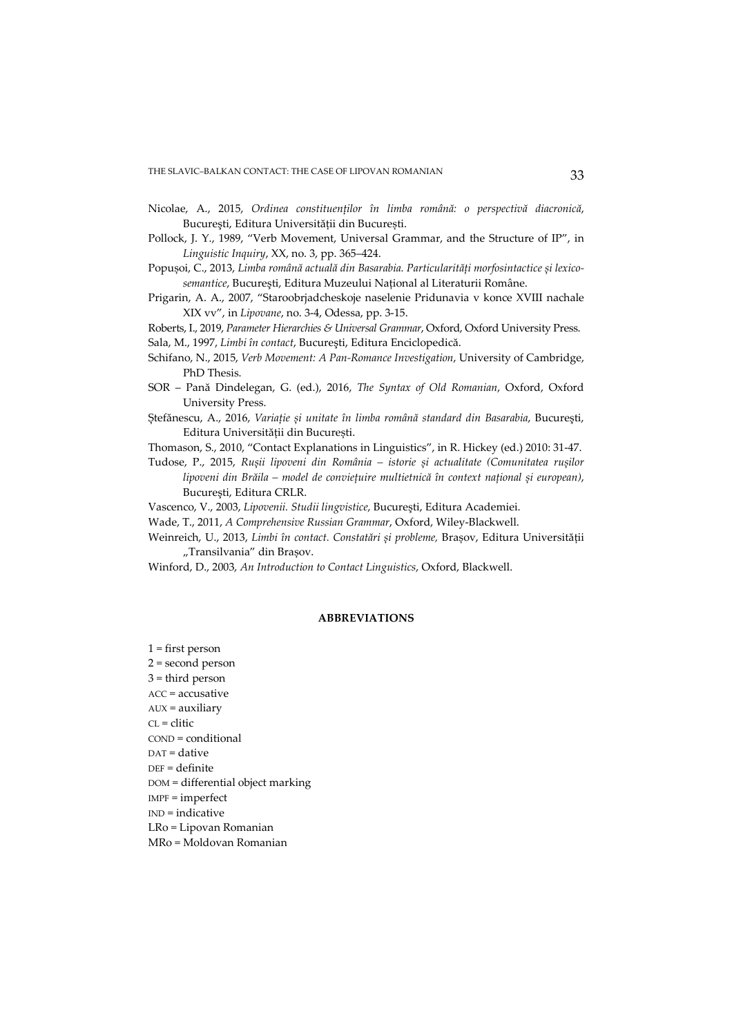- Nicolae, A., 2015, *Ordinea constituenţilor în limba română: o perspectivă diacronică*, București, Editura Univerșității din București.
- Pollock, J. Y., 1989, "Verb Movement, Universal Grammar, and the Structure of IP", in *Linguistic Inquiry*, XX, no. 3, pp. 365–424.
- Popușoi, C., 2013, *Limba română actuală din Basarabia. Particularităţi morfosintactice și lexicosemantice*, Bucureşti, Editura Muzeului Naţional al Literaturii Române.
- Prigarin, A. A., 2007, "Staroobrjadcheskoje naselenie Pridunavia v konce XVIII nachale XIX vv", in *Lipovane*, no. 3-4, Odessa, pp. 3-15.

Roberts, I., 2019, *Parameter Hierarchies & Universal Grammar*, Oxford, Oxford University Press. Sala, M., 1997, *Limbi în contact*, Bucureşti, Editura Enciclopedică.

- Schifano, N., 2015, *Verb Movement: A Pan-Romance Investigation*, University of Cambridge, PhD Thesis.
- SOR Pană Dindelegan, G. (ed.), 2016, *The Syntax of Old Romanian*, Oxford, Oxford University Press.
- Ștefănescu, A., 2016, *Variaţie și unitate în limba română standard din Basarabia*, Bucureşti, Editura Universităţii din București.

Thomason, S., 2010, "Contact Explanations in Linguistics", in R. Hickey (ed.) 2010: 31-47.

Tudose, P., 2015, *Rușii lipoveni din România – istorie și actualitate (Comunitatea rușilor lipoveni din Brăila – model de convieţuire multietnică în context naţional și european)*, Bucureşti, Editura CRLR.

Vascenco, V., 2003, *Lipovenii. Studii lingvistice*, Bucureşti, Editura Academiei.

Wade, T., 2011, *A Comprehensive Russian Grammar*, Oxford, Wiley-Blackwell.

Weinreich, U., 2013, *Limbi în contact. Constatări și probleme*, Brașov, Editura Universității "Transilvania" din Brașov.

Winford, D., 2003, *An Introduction to Contact Linguistics*, Oxford, Blackwell.

#### **ABBREVIATIONS**

 $1 =$  first person 2 = second person  $3 =$  third person ACC = accusative AUX = auxiliary  $CL = \text{clitic}$ COND = conditional DAT = dative DEF = definite DOM = differential object marking IMPF = imperfect IND = indicative LRo = Lipovan Romanian MRo = Moldovan Romanian